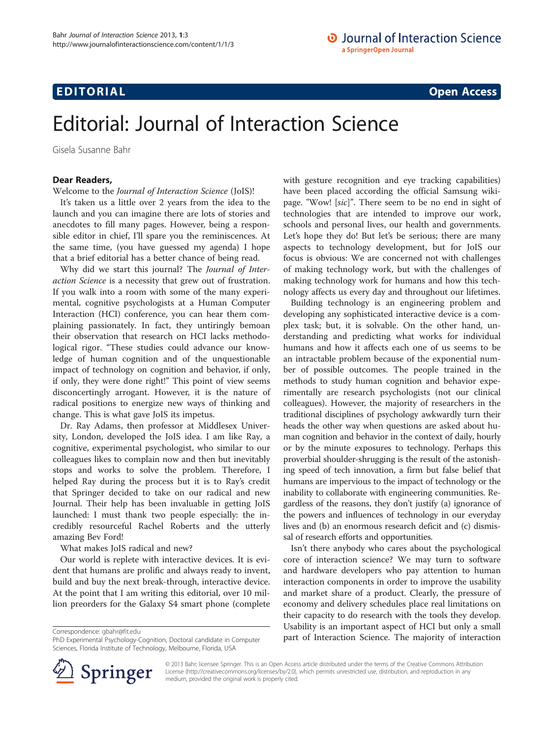## **EDITORIAL** CONTROL CONTROL CONTROL CONTROL CONTROL CONTROL CONTROL CONTROL CONTROL CONTROL CONTROL CONTROL CONTROL CONTROL CONTROL CONTROL CONTROL CONTROL CONTROL CONTROL CONTROL CONTROL CONTROL CONTROL CONTROL CONTROL CO

## Editorial: Journal of Interaction Science

Gisela Susanne Bahr

## Dear Readers,

Welcome to the Journal of Interaction Science (JoIS)!

It's taken us a little over 2 years from the idea to the launch and you can imagine there are lots of stories and anecdotes to fill many pages. However, being a responsible editor in chief, I'll spare you the reminiscences. At the same time, (you have guessed my agenda) I hope that a brief editorial has a better chance of being read.

Why did we start this journal? The Journal of Interaction Science is a necessity that grew out of frustration. If you walk into a room with some of the many experimental, cognitive psychologists at a Human Computer Interaction (HCI) conference, you can hear them complaining passionately. In fact, they untiringly bemoan their observation that research on HCI lacks methodological rigor. "These studies could advance our knowledge of human cognition and of the unquestionable impact of technology on cognition and behavior, if only, if only, they were done right!" This point of view seems disconcertingly arrogant. However, it is the nature of radical positions to energize new ways of thinking and change. This is what gave JoIS its impetus.

Dr. Ray Adams, then professor at Middlesex University, London, developed the JoIS idea. I am like Ray, a cognitive, experimental psychologist, who similar to our colleagues likes to complain now and then but inevitably stops and works to solve the problem. Therefore, I helped Ray during the process but it is to Ray's credit that Springer decided to take on our radical and new Journal. Their help has been invaluable in getting JoIS launched: I must thank two people especially: the incredibly resourceful Rachel Roberts and the utterly amazing Bev Ford!

What makes JoIS radical and new?

Our world is replete with interactive devices. It is evident that humans are prolific and always ready to invent, build and buy the next break-through, interactive device. At the point that I am writing this editorial, over 10 million preorders for the Galaxy S4 smart phone (complete

PhD Experimental Psychology-Cognition, Doctoral candidate in Computer Sciences, Florida Institute of Technology, Melbourne, Florida, USA



Building technology is an engineering problem and developing any sophisticated interactive device is a complex task; but, it is solvable. On the other hand, understanding and predicting what works for individual humans and how it affects each one of us seems to be an intractable problem because of the exponential number of possible outcomes. The people trained in the methods to study human cognition and behavior experimentally are research psychologists (not our clinical colleagues). However, the majority of researchers in the traditional disciplines of psychology awkwardly turn their heads the other way when questions are asked about human cognition and behavior in the context of daily, hourly or by the minute exposures to technology. Perhaps this proverbial shoulder-shrugging is the result of the astonishing speed of tech innovation, a firm but false belief that humans are impervious to the impact of technology or the inability to collaborate with engineering communities. Regardless of the reasons, they don't justify (a) ignorance of the powers and influences of technology in our everyday lives and (b) an enormous research deficit and (c) dismissal of research efforts and opportunities.

Isn't there anybody who cares about the psychological core of interaction science? We may turn to software and hardware developers who pay attention to human interaction components in order to improve the usability and market share of a product. Clearly, the pressure of economy and delivery schedules place real limitations on their capacity to do research with the tools they develop. Usability is an important aspect of HCI but only a small Correspondence: [gbahr@fit.edu](mailto:gbahr@fit.edu)<br>PhD Experimental Psychology-Cognition, Doctoral candidate in Computer **Figure 1 part of Interaction Science. The majority of interaction** 



© 2013 Bahr; licensee Springer. This is an Open Access article distributed under the terms of the Creative Commons Attribution License [\(http://creativecommons.org/licenses/by/2.0\)](http://creativecommons.org/licenses/by/2.0), which permits unrestricted use, distribution, and reproduction in any medium, provided the original work is properly cited.